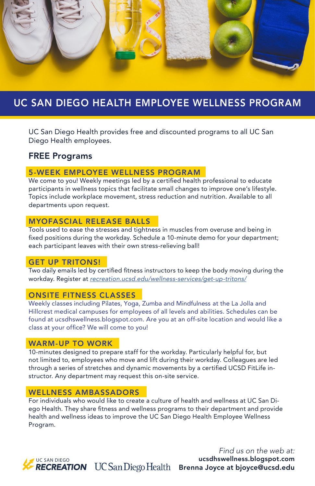

# UC SAN DIEGO HEALTH EMPLOYEE WELLNESS PROGRAM

UC San Diego Health provides free and discounted programs to all UC San Diego Health employees.

### FREE Programs

### 5-WEEK EMPLOYEE WELLNESS PROGRAM

We come to you! Weekly meetings led by a certified health professional to educate participants in wellness topics that facilitate small changes to improve one's lifestyle. Topics include workplace movement, stress reduction and nutrition. Available to all departments upon request.

### MYOFASCIAL RELEASE BALLS

Tools used to ease the stresses and tightness in muscles from overuse and being in fixed positions during the workday. Schedule a 10-minute demo for your department; each participant leaves with their own stress-relieving ball!

#### GET UP TRITONS!

Two daily emails led by certified fitness instructors to keep the body moving during the workday. Register at *recreation.ucsd.edu/wellness-services/get-up-tritons/*

### ONSITE FITNESS CLASSES

Weekly classes including Pilates, Yoga, Zumba and Mindfulness at the La Jolla and Hillcrest medical campuses for employees of all levels and abilities. Schedules can be found at ucsdhswellness.blogspot.com. Are you at an off-site location and would like a class at your office? We will come to you!

### WARM-UP TO WORK

10-minutes designed to prepare staff for the workday. Particularly helpful for, but not limited to, employees who move and lift during their workday. Colleagues are led through a series of stretches and dynamic movements by a certified UCSD FitLife instructor. Any department may request this on-site service.

### WELLNESS AMBASSADORS

For individuals who would like to create a culture of health and wellness at UC San Diego Health. They share fitness and wellness programs to their department and provide health and wellness ideas to improve the UC San Diego Health Employee Wellness Program.

UC SAN DIEGO

*Find us on the web at:* ucsdhswellness.blogspot.com RECREATION UC San Diego Health Brenna Joyce at bjoyce@ucsd.edu